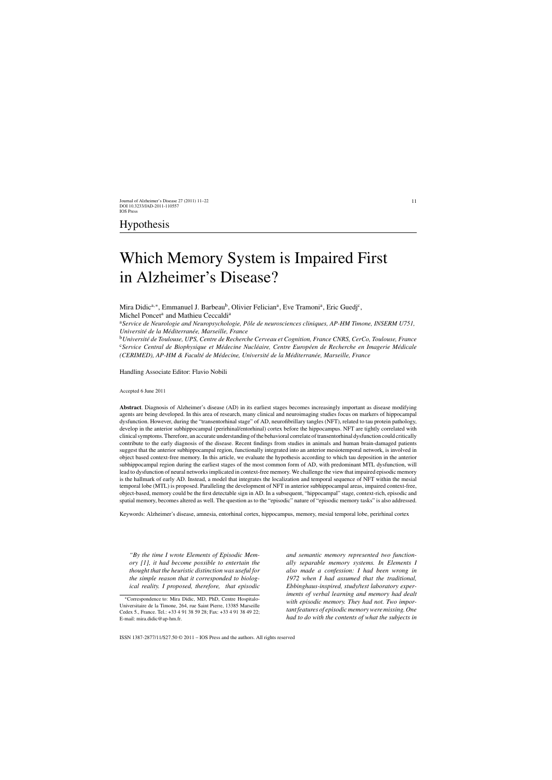# Hypothesis

# Which Memory System is Impaired First in Alzheimer's Disease?

Mira Didic<sup>a,∗</sup>, Emmanuel J. Barbeau<sup>b</sup>, Olivier Felician<sup>a</sup>, Eve Tramoni<sup>a</sup>, Eric Guedj<sup>c</sup>, Michel Poncet<sup>a</sup> and Mathieu Ceccaldi<sup>a</sup>

<sup>a</sup>Service de Neurologie and Neuropsychologie, Pôle de neurosciences cliniques, AP-HM Timone, INSERM U751, *Universit´e de la M´editerran´ee, Marseille, France*

<sup>b</sup>*Universit´e de Toulouse, UPS, Centre de Recherche Cerveau et Cognition, France CNRS, CerCo, Toulouse, France* <sup>c</sup>Service Central de Biophysique et Médecine Nucléaire, Centre Européen de Recherche en Imagerie Médicale *(CERIMED), AP-HM & Facult´e de M´edecine, Universit´e de la M´editerran´ee, Marseille, France*

Handling Associate Editor: Flavio Nobili

Accepted 6 June 2011

**Abstract**. Diagnosis of Alzheimer's disease (AD) in its earliest stages becomes increasingly important as disease modifying agents are being developed. In this area of research, many clinical and neuroimaging studies focus on markers of hippocampal dysfunction. However, during the "transentorhinal stage" of AD, neurofibrillary tangles (NFT), related to tau protein pathology, develop in the anterior subhippocampal (perirhinal/entorhinal) cortex before the hippocampus. NFT are tightly correlated with clinical symptoms. Therefore, an accurate understanding of the behavioral correlate of transentorhinal dysfunction could critically contribute to the early diagnosis of the disease. Recent findings from studies in animals and human brain-damaged patients suggest that the anterior subhippocampal region, functionally integrated into an anterior mesiotemporal network, is involved in object based context-free memory. In this article, we evaluate the hypothesis according to which tau deposition in the anterior subhippocampal region during the earliest stages of the most common form of AD, with predominant MTL dysfunction, will lead to dysfunction of neural networks implicated in context-free memory. We challenge the view that impaired episodic memory is the hallmark of early AD. Instead, a model that integrates the localization and temporal sequence of NFT within the mesial temporal lobe (MTL) is proposed. Paralleling the development of NFT in anterior subhippocampal areas, impaired context-free, object-based, memory could be the first detectable sign in AD. In a subsequent, "hippocampal" stage, context-rich, episodic and spatial memory, becomes altered as well. The question as to the "episodic" nature of "episodic memory tasks" is also addressed.

Keywords: Alzheimer's disease, amnesia, entorhinal cortex, hippocampus, memory, mesial temporal lobe, perirhinal cortex

*"By the time I wrote Elements of Episodic Memory [1], it had become possible to entertain the thought that the heuristic distinction was useful for the simple reason that it corresponded to biological reality. I proposed, therefore, that episodic* *and semantic memory represented two functionally separable memory systems. In Elements I also made a confession: I had been wrong in 1972 when I had assumed that the traditional, Ebbinghaus-inspired, study/test laboratory experiments of verbal learning and memory had dealt with episodic memory. They had not. Two important features of episodic memory were missing. One had to do with the contents of what the subjects in*

<sup>∗</sup>Correspondence to: Mira Didic, MD, PhD, Centre Hospitalo-Universitaire de la Timone, 264, rue Saint Pierre, 13385 Marseille Cedex 5., France. Tel.: +33 4 91 38 59 28; Fax: +33 4 91 38 49 22; E-mail: [mira.didic@ap-hm.fr](mailto:mira.didic@ap-hm.fr).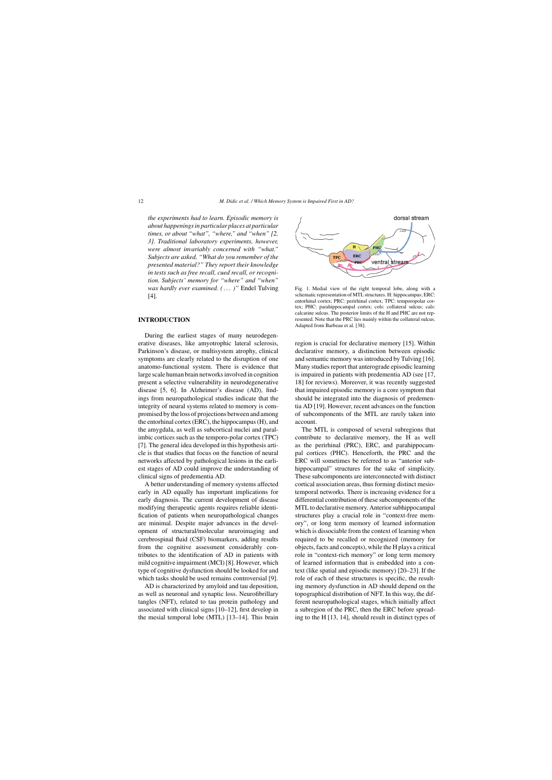*the experiments had to learn. Episodic memory is about happenings in particular places at particular times, or about "what", "where," and "when" [2, 3]. Traditional laboratory experiments, however, were almost invariably concerned with "what." Subjects are asked, "What do you remember of the presented material?" They report their knowledge in tests such as free recall, cued recall, or recognition. Subjects' memory for "where" and "when" was hardly ever examined. ( . . . )"* Endel Tulving [4].

#### **INTRODUCTION**

During the earliest stages of many neurodegenerative diseases, like amyotrophic lateral sclerosis, Parkinson's disease, or multisystem atrophy, clinical symptoms are clearly related to the disruption of one anatomo-functional system. There is evidence that large scale human brain networks involved in cognition present a selective vulnerability in neurodegenerative disease [5, 6]. In Alzheimer's disease (AD), findings from neuropathological studies indicate that the integrity of neural systems related to memory is compromised by the loss of projections between and among the entorhinal cortex (ERC), the hippocampus (H), and the amygdala, as well as subcortical nuclei and paralimbic cortices such as the temporo-polar cortex (TPC) [7]. The general idea developed in this hypothesis article is that studies that focus on the function of neural networks affected by pathological lesions in the earliest stages of AD could improve the understanding of clinical signs of predementia AD.

A better understanding of memory systems affected early in AD equally has important implications for early diagnosis. The current development of disease modifying therapeutic agents requires reliable identification of patients when neuropathological changes are minimal. Despite major advances in the development of structural/molecular neuroimaging and cerebrospinal fluid (CSF) biomarkers, adding results from the cognitive assessment considerably contributes to the identification of AD in patients with mild cognitive impairment (MCI) [8]. However, which type of cognitive dysfunction should be looked for and which tasks should be used remains controversial [9].

AD is characterized by amyloid and tau deposition, as well as neuronal and synaptic loss. Neurofibrillary tangles (NFT), related to tau protein pathology and associated with clinical signs [10–12], first develop in the mesial temporal lobe (MTL) [13–14]. This brain



Fig. 1. Medial view of the right temporal lobe, along with a schematic representation of MTL structures. H: hippocampus; ERC: entorhinal cortex; PRC: perirhinal cortex; TPC: temporopolar cortex; PHC: parahippocampal cortex; cols: collateral sulcus; cals: calcarine sulcus. The posterior limits of the H and PHC are not represented. Note that the PRC lies mainly within the collateral sulcus. Adapted from Barbeau et al. [38].

region is crucial for declarative memory [15]. Within declarative memory, a distinction between episodic and semantic memory was introduced by Tulving [16]. Many studies report that anterograde episodic learning is impaired in patients with predementia AD (see [17, 18] for reviews). Moreover, it was recently suggested that impaired episodic memory is a core symptom that should be integrated into the diagnosis of predementia AD [19]. However, recent advances on the function of subcomponents of the MTL are rarely taken into account.

The MTL is composed of several subregions that contribute to declarative memory, the H as well as the perirhinal (PRC), ERC, and parahippocampal cortices (PHC). Henceforth, the PRC and the ERC will sometimes be referred to as "anterior subhippocampal" structures for the sake of simplicity. These subcomponents are interconnected with distinct cortical association areas, thus forming distinct mesiotemporal networks. There is increasing evidence for a differential contribution of these subcomponents of the MTL to declarative memory. Anterior subhippocampal structures play a crucial role in "context-free memory", or long term memory of learned information which is dissociable from the context of learning when required to be recalled or recognized (memory for objects, facts and concepts), while the H plays a critical role in "context-rich memory" or long term memory of learned information that is embedded into a context (like spatial and episodic memory) [20–23]. If the role of each of these structures is specific, the resulting memory dysfunction in AD should depend on the topographical distribution of NFT. In this way, the different neuropathological stages, which initially affect a subregion of the PRC, then the ERC before spreading to the H [13, 14], should result in distinct types of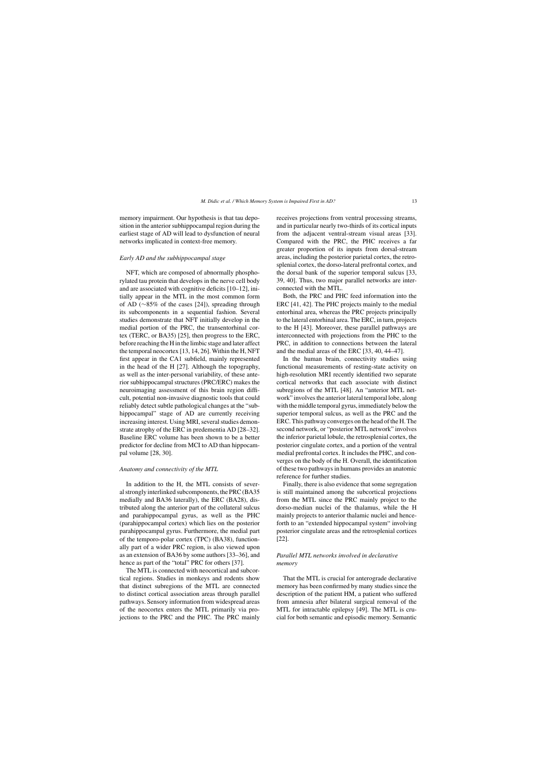memory impairment. Our hypothesis is that tau deposition in the anterior subhippocampal region during the earliest stage of AD will lead to dysfunction of neural networks implicated in context-free memory.

#### *Early AD and the subhippocampal stage*

NFT, which are composed of abnormally phosphorylated tau protein that develops in the nerve cell body and are associated with cognitive deficits [10–12], initially appear in the MTL in the most common form of AD (∼85% of the cases [24]), spreading through its subcomponents in a sequential fashion. Several studies demonstrate that NFT initially develop in the medial portion of the PRC, the transentorhinal cortex (TERC, or BA35) [25], then progress to the ERC, before reaching the H in the limbic stage and later affect the temporal neocortex [13, 14, 26]. Within the H, NFT first appear in the CA1 subfield, mainly represented in the head of the H [27]. Although the topography, as well as the inter-personal variability, of these anterior subhippocampal structures (PRC/ERC) makes the neuroimaging assessment of this brain region difficult, potential non-invasive diagnostic tools that could reliably detect subtle pathological changes at the "subhippocampal" stage of AD are currently receiving increasing interest. Using MRI, several studies demonstrate atrophy of the ERC in predementia AD [28–32]. Baseline ERC volume has been shown to be a better predictor for decline from MCI to AD than hippocampal volume [28, 30].

#### *Anatomy and connectivity of the MTL*

In addition to the H, the MTL consists of several strongly interlinked subcomponents, the PRC (BA35 medially and BA36 laterally), the ERC (BA28), distributed along the anterior part of the collateral sulcus and parahippocampal gyrus, as well as the PHC (parahippocampal cortex) which lies on the posterior parahippocampal gyrus. Furthermore, the medial part of the temporo-polar cortex (TPC) (BA38), functionally part of a wider PRC region, is also viewed upon as an extension of BA36 by some authors [33–36], and hence as part of the "total" PRC for others [37].

The MTL is connected with neocortical and subcortical regions. Studies in monkeys and rodents show that distinct subregions of the MTL are connected to distinct cortical association areas through parallel pathways. Sensory information from widespread areas of the neocortex enters the MTL primarily via projections to the PRC and the PHC. The PRC mainly receives projections from ventral processing streams, and in particular nearly two-thirds of its cortical inputs from the adjacent ventral-stream visual areas [33]. Compared with the PRC, the PHC receives a far greater proportion of its inputs from dorsal-stream areas, including the posterior parietal cortex, the retrosplenial cortex, the dorso-lateral prefrontal cortex, and the dorsal bank of the superior temporal sulcus [33, 39, 40]. Thus, two major parallel networks are interconnected with the MTL.

Both, the PRC and PHC feed information into the ERC [41, 42]. The PHC projects mainly to the medial entorhinal area, whereas the PRC projects principally to the lateral entorhinal area. The ERC, in turn, projects to the H [43]. Moreover, these parallel pathways are interconnected with projections from the PHC to the PRC, in addition to connections between the lateral and the medial areas of the ERC [33, 40, 44–47].

In the human brain, connectivity studies using functional measurements of resting-state activity on high-resolution MRI recently identified two separate cortical networks that each associate with distinct subregions of the MTL [48]. An "anterior MTL network" involves the anterior lateral temporal lobe, along with the middle temporal gyrus, immediately below the superior temporal sulcus, as well as the PRC and the ERC. This pathway converges on the head of the H. The second network, or "posterior MTL network" involves the inferior parietal lobule, the retrosplenial cortex, the posterior cingulate cortex, and a portion of the ventral medial prefrontal cortex. It includes the PHC, and converges on the body of the H. Overall, the identification of these two pathways in humans provides an anatomic reference for further studies.

Finally, there is also evidence that some segregation is still maintained among the subcortical projections from the MTL since the PRC mainly project to the dorso-median nuclei of the thalamus, while the H mainly projects to anterior thalamic nuclei and henceforth to an "extended hippocampal system" involving posterior cingulate areas and the retrosplenial cortices [22].

### *Parallel MTL networks involved in declarative memory*

That the MTL is crucial for anterograde declarative memory has been confirmed by many studies since the description of the patient HM, a patient who suffered from amnesia after bilateral surgical removal of the MTL for intractable epilepsy [49]. The MTL is crucial for both semantic and episodic memory. Semantic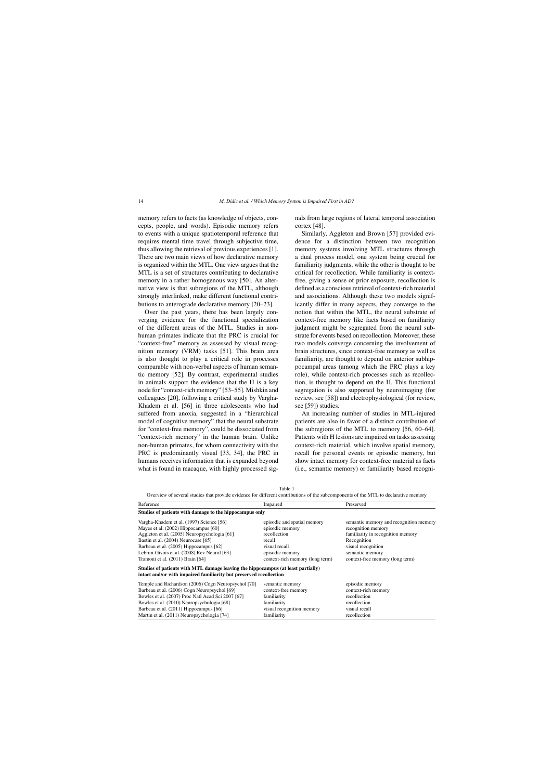memory refers to facts (as knowledge of objects, concepts, people, and words). Episodic memory refers to events with a unique spatiotemporal reference that requires mental time travel through subjective time, thus allowing the retrieval of previous experiences [1]. There are two main views of how declarative memory is organized within the MTL. One view argues that the MTL is a set of structures contributing to declarative memory in a rather homogenous way [50]. An alternative view is that subregions of the MTL, although strongly interlinked, make different functional contributions to anterograde declarative memory [20–23].

Over the past years, there has been largely converging evidence for the functional specialization of the different areas of the MTL. Studies in nonhuman primates indicate that the PRC is crucial for "context-free" memory as assessed by visual recognition memory (VRM) tasks [51]. This brain area is also thought to play a critical role in processes comparable with non-verbal aspects of human semantic memory [52]. By contrast, experimental studies in animals support the evidence that the H is a key node for "context-rich memory" [53–55]. Mishkin and colleagues [20], following a critical study by Vargha-Khadem et al. [56] in three adolescents who had suffered from anoxia, suggested in a "hierarchical model of cognitive memory" that the neural substrate for "context-free memory", could be dissociated from "context-rich memory" in the human brain. Unlike non-human primates, for whom connectivity with the PRC is predominantly visual [33, 34], the PRC in humans receives information that is expanded beyond what is found in macaque, with highly processed signals from large regions of lateral temporal association cortex [48].

Similarly, Aggleton and Brown [57] provided evidence for a distinction between two recognition memory systems involving MTL structures through a dual process model, one system being crucial for familiarity judgments, while the other is thought to be critical for recollection. While familiarity is contextfree, giving a sense of prior exposure, recollection is defined as a conscious retrieval of context-rich material and associations. Although these two models significantly differ in many aspects, they converge to the notion that within the MTL, the neural substrate of context-free memory like facts based on familiarity judgment might be segregated from the neural substrate for events based on recollection. Moreover, these two models converge concerning the involvement of brain structures, since context-free memory as well as familiarity, are thought to depend on anterior subhippocampal areas (among which the PRC plays a key role), while context-rich processes such as recollection, is thought to depend on the H. This functional segregation is also supported by neuroimaging (for review, see [58]) and electrophysiological (for review, see [59]) studies.

An increasing number of studies in MTL-injured patients are also in favor of a distinct contribution of the subregions of the MTL to memory [56, 60–64]. Patients with H lesions are impaired on tasks assessing context-rich material, which involve spatial memory, recall for personal events or episodic memory, but show intact memory for context-free material as facts (i.e., semantic memory) or familiarity based recogni-

Table 1

Overview of several studies that provide evidence for different contributions of the subcomponents of the MTL to declarative memory

| Reference                                                                                                                                              | Impaired                        | Preserved                              |
|--------------------------------------------------------------------------------------------------------------------------------------------------------|---------------------------------|----------------------------------------|
| Studies of patients with damage to the hippocampus only                                                                                                |                                 |                                        |
| Vargha-Khadem et al. (1997) Science [56]                                                                                                               | episodic and spatial memory     | semantic memory and recognition memory |
| Mayes et al. (2002) Hippocampus [60]                                                                                                                   | episodic memory                 | recognition memory                     |
| Aggleton et al. (2005) Neuropsychologia [61]                                                                                                           | recollection                    | familiarity in recognition memory      |
| Bastin et al. (2004) Neurocase [65]                                                                                                                    | recall                          | Recognition                            |
| Barbeau et al. (2005) Hippocampus [62]                                                                                                                 | visual recall                   | visual recognition                     |
| Lebrun-Givois et al. (2008) Rev Neurol [63]                                                                                                            | episodic memory                 | semantic memory                        |
| Tramoni et al. (2011) Brain [64]                                                                                                                       | context-rich memory (long term) | context-free memory (long term)        |
| Studies of patients with MTL damage leaving the hippocampus (at least partially)<br>intact and/or with impaired familiarity but preserved recollection |                                 |                                        |
| Temple and Richardson (2006) Cogn Neuropsychol [70]                                                                                                    | semantic memory                 | episodic memory                        |
| Barbeau et al. (2006) Cogn Neuropsychol [69]                                                                                                           | context-free memory             | context-rich memory                    |
| Bowles et al. (2007) Proc Natl Acad Sci 2007 [67]                                                                                                      | familiarity                     | recollection                           |
| Bowles et al. (2010) Neuropsychologia [68]                                                                                                             | familiarity                     | recollection                           |
| Barbeau et al. (2011) Hippocampus [66]                                                                                                                 | visual recognition memory       | visual recall                          |
| Martin et al. (2011) Neuropsychologia [74]                                                                                                             | familiarity                     | recollection                           |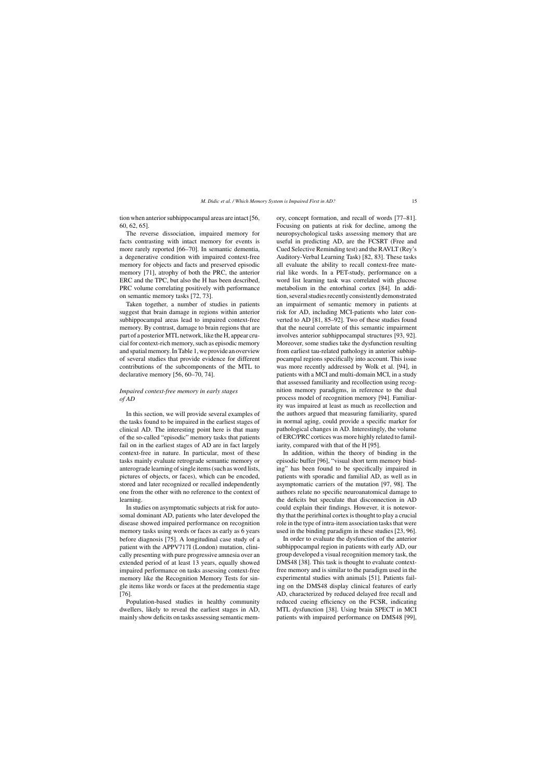tion when anterior subhippocampal areas are intact [56, 60, 62, 65].

The reverse dissociation, impaired memory for facts contrasting with intact memory for events is more rarely reported [66–70]. In semantic dementia, a degenerative condition with impaired context-free memory for objects and facts and preserved episodic memory [71], atrophy of both the PRC, the anterior ERC and the TPC, but also the H has been described, PRC volume correlating positively with performance on semantic memory tasks [72, 73].

Taken together, a number of studies in patients suggest that brain damage in regions within anterior subhippocampal areas lead to impaired context-free memory. By contrast, damage to brain regions that are part of a posterior MTL network, like the H, appear crucial for context-rich memory, such as episodic memory and spatial memory. In Table 1, we provide an overview of several studies that provide evidence for different contributions of the subcomponents of the MTL to declarative memory [56, 60–70, 74].

# *Impaired context-free memory in early stages of AD*

In this section, we will provide several examples of the tasks found to be impaired in the earliest stages of clinical AD. The interesting point here is that many of the so-called "episodic" memory tasks that patients fail on in the earliest stages of AD are in fact largely context-free in nature. In particular, most of these tasks mainly evaluate retrograde semantic memory or anterograde learning of single items (such as word lists, pictures of objects, or faces), which can be encoded, stored and later recognized or recalled independently one from the other with no reference to the context of learning.

In studies on asymptomatic subjects at risk for autosomal dominant AD, patients who later developed the disease showed impaired performance on recognition memory tasks using words or faces as early as 6 years before diagnosis [75]. A longitudinal case study of a patient with the APPV717I (London) mutation, clinically presenting with pure progressive amnesia over an extended period of at least 13 years, equally showed impaired performance on tasks assessing context-free memory like the Recognition Memory Tests for single items like words or faces at the predementia stage [76].

Population-based studies in healthy community dwellers, likely to reveal the earliest stages in AD, mainly show deficits on tasks assessing semantic memory, concept formation, and recall of words [77–81]. Focusing on patients at risk for decline, among the neuropsychological tasks assessing memory that are useful in predicting AD, are the FCSRT (Free and Cued Selective Reminding test) and the RAVLT (Rey's Auditory-Verbal Learning Task) [82, 83]. These tasks all evaluate the ability to recall context-free material like words. In a PET-study, performance on a word list learning task was correlated with glucose metabolism in the entorhinal cortex [84]. In addition, several studies recently consistently demonstrated an impairment of semantic memory in patients at risk for AD, including MCI-patients who later converted to AD [81, 85–92]. Two of these studies found that the neural correlate of this semantic impairment involves anterior subhippocampal structures [93, 92]. Moreover, some studies take the dysfunction resulting from earliest tau-related pathology in anterior subhippocampal regions specifically into account. This issue was more recently addressed by Wolk et al. [94], in patients with a MCI and multi-domain MCI, in a study that assessed familiarity and recollection using recognition memory paradigms, in reference to the dual process model of recognition memory [94]. Familiarity was impaired at least as much as recollection and the authors argued that measuring familiarity, spared in normal aging, could provide a specific marker for pathological changes in AD. Interestingly, the volume of ERC/PRC cortices was more highly related to familiarity, compared with that of the H [95].

In addition, within the theory of binding in the episodic buffer [96], "visual short term memory binding" has been found to be specifically impaired in patients with sporadic and familial AD, as well as in asymptomatic carriers of the mutation [97, 98]. The authors relate no specific neuroanatomical damage to the deficits but speculate that disconnection in AD could explain their findings. However, it is noteworthy that the perirhinal cortex is thought to play a crucial role in the type of intra-item association tasks that were used in the binding paradigm in these studies [23, 96].

In order to evaluate the dysfunction of the anterior subhippocampal region in patients with early AD, our group developed a visual recognition memory task, the DMS48 [38]. This task is thought to evaluate contextfree memory and is similar to the paradigm used in the experimental studies with animals [51]. Patients failing on the DMS48 display clinical features of early AD, characterized by reduced delayed free recall and reduced cueing efficiency on the FCSR, indicating MTL dysfunction [38]. Using brain SPECT in MCI patients with impaired performance on DMS48 [99],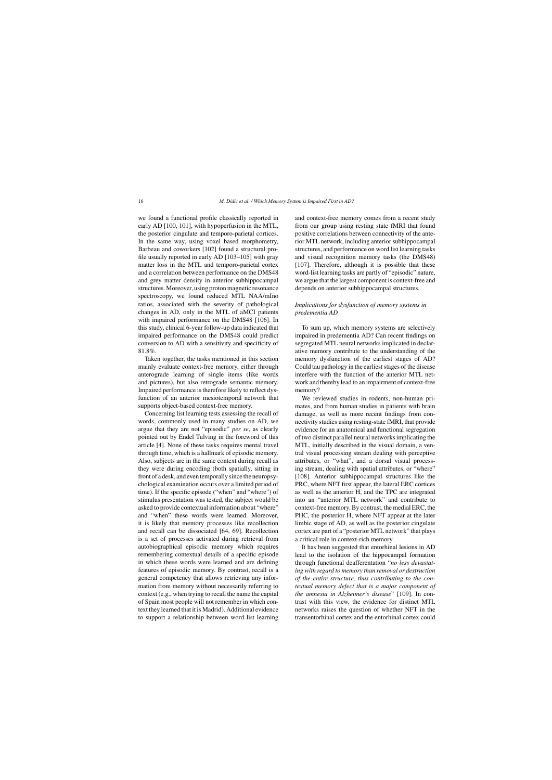we found a functional profile classically reported in early AD [100, 101], with hypoperfusion in the MTL, the posterior cingulate and temporo-parietal cortices. In the same way, using voxel based morphometry, Barbeau and coworkers [102] found a structural profile usually reported in early AD [103–105] with gray matter loss in the MTL and temporo-parietal cortex and a correlation between performance on the DMS48 and grey matter density in anterior subhippocampal structures. Moreover, using proton magnetic resonance spectroscopy, we found reduced MTL NAA/mIno ratios, associated with the severity of pathological changes in AD, only in the MTL of aMCI patients with impaired performance on the DMS48 [106]. In this study, clinical 6-year follow-up data indicated that impaired performance on the DMS48 could predict conversion to AD with a sensitivity and specificity of 81.8%.

Taken together, the tasks mentioned in this section mainly evaluate context-free memory, either through anterograde learning of single items (like words and pictures), but also retrograde semantic memory. Impaired performance is therefore likely to reflect dysfunction of an anterior mesiotemporal network that supports object-based context-free memory.

Concerning list learning tests assessing the recall of words, commonly used in many studies on AD, we argue that they are not "episodic" *per se*, as clearly pointed out by Endel Tulving in the foreword of this article [4]. None of these tasks requires mental travel through time, which is a hallmark of episodic memory. Also, subjects are in the same context during recall as they were during encoding (both spatially, sitting in front of a desk, and even temporally since the neuropsychological examination occurs over a limited period of time). If the specific episode ("when" and "where") of stimulus presentation was tested, the subject would be asked to provide contextual information about "where" and "when" these words were learned. Moreover, it is likely that memory processes like recollection and recall can be dissociated [64, 69]. Recollection is a set of processes activated during retrieval from autobiographical episodic memory which requires remembering contextual details of a specific episode in which these words were learned and are defining features of episodic memory. By contrast, recall is a general competency that allows retrieving any information from memory without necessarily referring to context (e.g., when trying to recall the name the capital of Spain most people will not remember in which context they learned that it is Madrid). Additional evidence to support a relationship between word list learning

and context-free memory comes from a recent study from our group using resting state fMRI that found positive correlations between connectivity of the anterior MTL network, including anterior subhippocampal structures, and performance on word list learning tasks and visual recognition memory tasks (the DMS48) [107]. Therefore, although it is possible that these word-list learning tasks are partly of "episodic" nature, we argue that the largest component is context-free and depends on anterior subhippocampal structures.

## *Implications for dysfunction of memory systems in predementia AD*

To sum up, which memory systems are selectively impaired in predementia AD? Can recent findings on segregated MTL neural networks implicated in declarative memory contribute to the understanding of the memory dysfunction of the earliest stages of AD? Could tau pathology in the earliest stages of the disease interfere with the function of the anterior MTL network and thereby lead to an impairment of context-free memory?

We reviewed studies in rodents, non-human primates, and from human studies in patients with brain damage, as well as more recent findings from connectivity studies using resting-state fMRI, that provide evidence for an anatomical and functional segregation of two distinct parallel neural networks implicating the MTL, initially described in the visual domain, a ventral visual processing stream dealing with perceptive attributes, or "what", and a dorsal visual processing stream, dealing with spatial attributes, or "where" [108]. Anterior subhippocampal structures like the PRC, where NFT first appear, the lateral ERC cortices as well as the anterior H, and the TPC are integrated into an "anterior MTL network" and contribute to context-free memory. By contrast, the medial ERC, the PHC, the posterior H, where NFT appear at the later limbic stage of AD, as well as the posterior cingulate cortex are part of a "posterior MTL network" that plays a critical role in context-rich memory.

It has been suggested that entorhinal lesions in AD lead to the isolation of the hippocampal formation through functional deafferentation "*no less devastating with regard to memory than removal or destruction of the entire structure, thus contributing to the contextual memory defect that is a major component of the amnesia in Alzheimer's disease*" [109]. In contrast with this view, the evidence for distinct MTL networks raises the question of whether NFT in the transentorhinal cortex and the entorhinal cortex could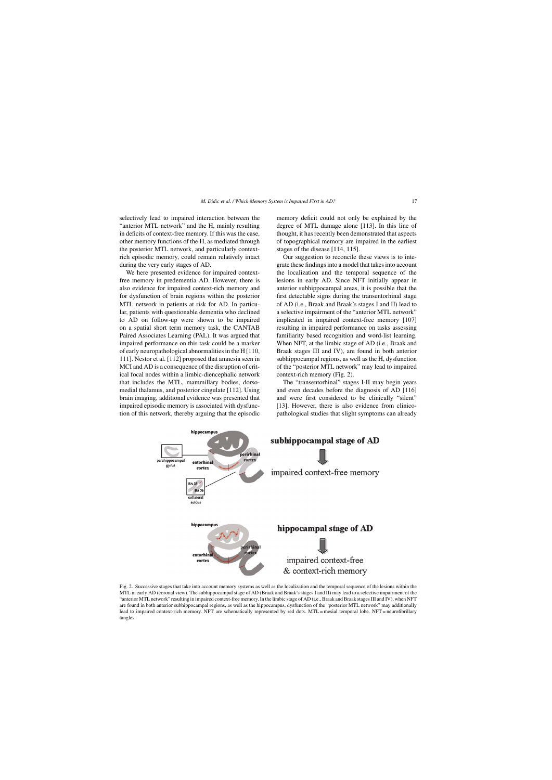selectively lead to impaired interaction between the "anterior MTL network" and the H, mainly resulting in deficits of context-free memory. If this was the case, other memory functions of the H, as mediated through the posterior MTL network, and particularly contextrich episodic memory, could remain relatively intact during the very early stages of AD.

We here presented evidence for impaired contextfree memory in predementia AD. However, there is also evidence for impaired context-rich memory and for dysfunction of brain regions within the posterior MTL network in patients at risk for AD. In particular, patients with questionable dementia who declined to AD on follow-up were shown to be impaired on a spatial short term memory task, the CANTAB Paired Associates Learning (PAL). It was argued that impaired performance on this task could be a marker of early neuropathological abnormalities in the H [110, 111]. Nestor et al. [112] proposed that amnesia seen in MCI and AD is a consequence of the disruption of critical focal nodes within a limbic-diencephalic network that includes the MTL, mammillary bodies, dorsomedial thalamus, and posterior cingulate [112]. Using brain imaging, additional evidence was presented that impaired episodic memory is associated with dysfunction of this network, thereby arguing that the episodic

memory deficit could not only be explained by the degree of MTL damage alone [113]. In this line of thought, it has recently been demonstrated that aspects of topographical memory are impaired in the earliest stages of the disease [114, 115].

Our suggestion to reconcile these views is to integrate these findings into a model that takes into account the localization and the temporal sequence of the lesions in early AD. Since NFT initially appear in anterior subhippocampal areas, it is possible that the first detectable signs during the transentorhinal stage of AD (i.e., Braak and Braak's stages I and II) lead to a selective impairment of the "anterior MTL network" implicated in impaired context-free memory [107] resulting in impaired performance on tasks assessing familiarity based recognition and word-list learning. When NFT, at the limbic stage of AD (i.e., Braak and Braak stages III and IV), are found in both anterior subhippocampal regions, as well as the H, dysfunction of the "posterior MTL network" may lead to impaired context-rich memory (Fig. 2).

The "transentorhinal" stages I-II may begin years and even decades before the diagnosis of AD [116] and were first considered to be clinically "silent" [13]. However, there is also evidence from clinicopathological studies that slight symptoms can already



Fig. 2. Successive stages that take into account memory systems as well as the localization and the temporal sequence of the lesions within the MTL in early AD (coronal view). The subhippocampal stage of AD (Braak and Braak's stages I and II) may lead to a selective impairment of the "anterior MTL network" resulting in impaired context-free memory. In the limbic stage of AD (i.e., Braak and Braak stages III and IV), when NFT are found in both anterior subhippocampal regions, as well as the hippocampus, dysfunction of the "posterior MTL network" may additionally lead to impaired context-rich memory. NFT are schematically represented by red dots. MTL = mesial temporal lobe. NFT = neurofibrillary tangles.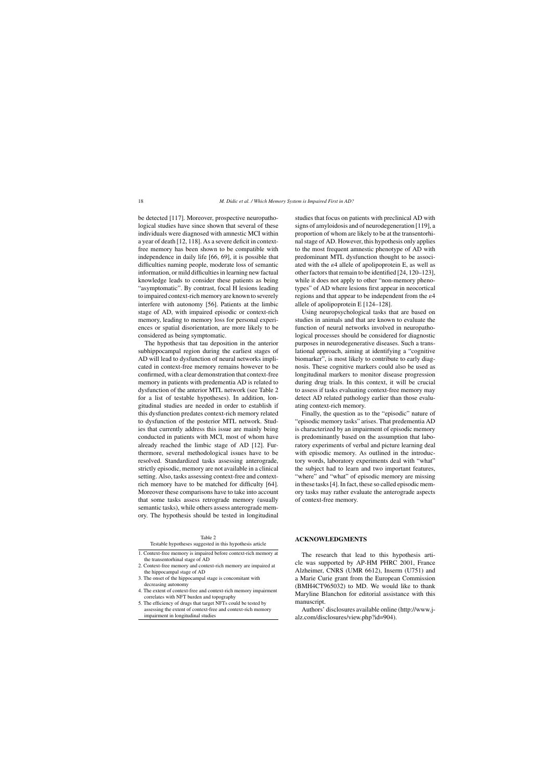be detected [117]. Moreover, prospective neuropathological studies have since shown that several of these individuals were diagnosed with amnestic MCI within a year of death [12, 118]. As a severe deficit in contextfree memory has been shown to be compatible with independence in daily life [66, 69], it is possible that difficulties naming people, moderate loss of semantic information, or mild difficulties in learning new factual knowledge leads to consider these patients as being "asymptomatic". By contrast, focal H lesions leading to impaired context-rich memory are known to severely interfere with autonomy [56]. Patients at the limbic stage of AD, with impaired episodic or context-rich memory, leading to memory loss for personal experiences or spatial disorientation, are more likely to be considered as being symptomatic.

The hypothesis that tau deposition in the anterior subhippocampal region during the earliest stages of AD will lead to dysfunction of neural networks implicated in context-free memory remains however to be confirmed, with a clear demonstration that context-free memory in patients with predementia AD is related to dysfunction of the anterior MTL network (see Table 2 for a list of testable hypotheses). In addition, longitudinal studies are needed in order to establish if this dysfunction predates context-rich memory related to dysfunction of the posterior MTL network. Studies that currently address this issue are mainly being conducted in patients with MCI, most of whom have already reached the limbic stage of AD [12]. Furthermore, several methodological issues have to be resolved. Standardized tasks assessing anterograde, strictly episodic, memory are not available in a clinical setting. Also, tasks assessing context-free and contextrich memory have to be matched for difficulty [64]. Moreover these comparisons have to take into account that some tasks assess retrograde memory (usually semantic tasks), while others assess anterograde memory. The hypothesis should be tested in longitudinal

Testable hypotheses suggested in this hypothesis article

1. Context-free memory is impaired before context-rich memory at the transentorhinal stage of AD

- 2. Context-free memory and context-rich memory are impaired at the hippocampal stage of AD
- 3. The onset of the hippocampal stage is concomitant with decreasing autonomy
- 4. The extent of context-free and context-rich memory impairment correlates with NFT burden and topography

5. The efficiency of drugs that target NFTs could be tested by assessing the extent of context-free and context-rich memory impairment in longitudinal studies

studies that focus on patients with preclinical AD with signs of amyloidosis and of neurodegeneration [119], a proportion of whom are likely to be at the transentorhinal stage of AD. However, this hypothesis only applies to the most frequent amnestic phenotype of AD with predominant MTL dysfunction thought to be associated with the  $\varepsilon$ 4 allele of apolipoprotein E, as well as other factors that remain to be identified [24, 120–123], while it does not apply to other "non-memory phenotypes" of AD where lesions first appear in neocortical regions and that appear to be independent from the  $\varepsilon$ 4 allele of apolipoprotein E [124–128].

Using neuropsychological tasks that are based on studies in animals and that are known to evaluate the function of neural networks involved in neuropathological processes should be considered for diagnostic purposes in neurodegenerative diseases. Such a translational approach, aiming at identifying a "cognitive biomarker", is most likely to contribute to early diagnosis. These cognitive markers could also be used as longitudinal markers to monitor disease progression during drug trials. In this context, it will be crucial to assess if tasks evaluating context-free memory may detect AD related pathology earlier than those evaluating context-rich memory.

Finally, the question as to the "episodic" nature of "episodic memory tasks" arises. That predementia AD is characterized by an impairment of episodic memory is predominantly based on the assumption that laboratory experiments of verbal and picture learning deal with episodic memory. As outlined in the introductory words, laboratory experiments deal with "what" the subject had to learn and two important features, "where" and "what" of episodic memory are missing in these tasks [4]. In fact, these so called episodic memory tasks may rather evaluate the anterograde aspects of context-free memory.

#### **ACKNOWLEDGMENTS**

The research that lead to this hypothesis article was supported by AP-HM PHRC 2001, France Alzheimer, CNRS (UMR 6612), Inserm (U751) and a Marie Curie grant from the European Commission (BMH4CT965032) to MD. We would like to thank Maryline Blanchon for editorial assistance with this manuscript.

Authors' disclosures available online [\(http://www.j](http://www.j-alz.com/disclosures/view.php?id=904)alz.com/disclosures/view.php?id=904).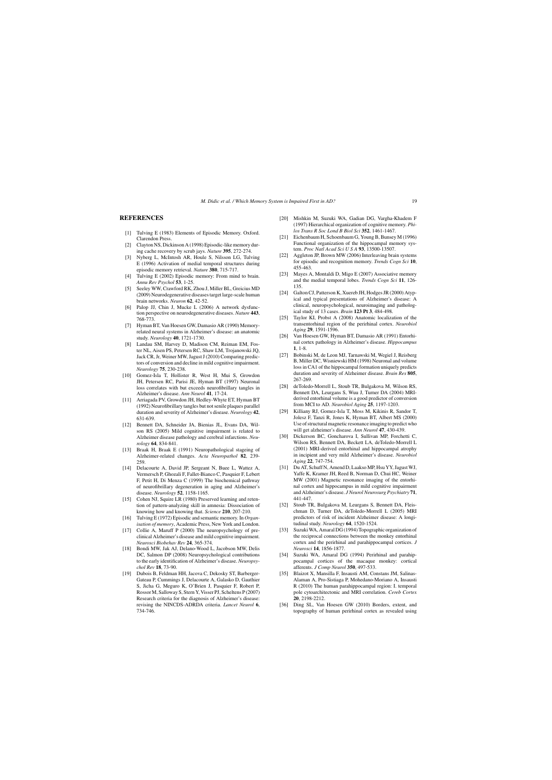## **REFERENCES**

- [1] Tulving E (1983) Elements of Episodic Memory. Oxford. Clarendon Press.
- [2] Clayton NS, Dickinson A (1998) Episodic-like memory during cache recovery by scrub jays. *Nature* **395**, 272-274.
- [3] Nyberg L, McIntosh AR, Houle S, Nilsson LG, Tulving E (1996) Activation of medial temporal structures during episodic memory retrieval. *Nature* **380**, 715-717.
- [4] Tulving E (2002) Episodic memory: From mind to brain. *Annu Rev Psychol* **53**, 1-25.
- [5] Seeley WW, Crawford RK, Zhou J, Miller BL, Greicius MD (2009) Neurodegenerative diseases target large-scale human brain networks. *Neuron* **62**, 42-52.
- [6] Palop JJ, Chin J, Mucke L (2006) A network dysfunction perspective on neurodegenerative diseases. *Nature* **443**, 768-773.
- [7] Hyman BT, Van Hoesen GW, Damasio AR (1990) Memoryrelated neural systems in Alzheimer's disease: an anatomic study. *Neurology* **40**, 1721-1730.
- [8] Landau SM, Harvey D, Madison CM, Reiman EM, Foster NL, Aisen PS, Petersen RC, Shaw LM, Trojanowski JQ, Jack CR, Jr, Weiner MW, Jagust J (2010) Comparing predictors of conversion and decline in mild cognitive impairment. *Neurology* **75**, 230-238.
- [10] Gomez-Isla T, Hollister R, West H, Mui S, Growdon JH, Petersen RC, Parisi JE, Hyman BT (1997) Neuronal loss correlates with but exceeds neurofibrillary tangles in Alzheimer's disease. *Ann Neurol* **41**, 17-24.
- [11] Arriagada PV, Growdon JH, Hedley-Whyte ET, Hyman BT (1992) Neurofibrillary tangles but not senile plaques parallel duration and severity of Alzheimer's disease. *Neurology* **42**, 631-639.
- [12] Bennett DA, Schneider JA, Bienias JL, Evans DA, Wilson RS (2005) Mild cognitive impairment is related to Alzheimer disease pathology and cerebral infarctions. *Neurology* **64**, 834-841.
- [13] Braak H, Braak E (1991) Neuropathological stageing of Alzheimer-related changes. *Acta Neuropathol* **82**, 239- 259.
- [14] Delacourte A, David JP, Sergeant N, Buee L, Wattez A, Vermersch P, Ghozali F, Fallet-Bianco C, Pasquier F, Lebert F, Petit H, Di Menza C (1999) The biochemical pathway of neurofibrillary degeneration in aging and Alzheimer's disease. *Neurology* **52**, 1158-1165.
- [15] Cohen NJ, Squire LR (1980) Preserved learning and retention of pattern-analyzing skill in amnesia: Dissociation of knowing how and knowing that. *Science* **210**, 207-210.
- [16] Tulving E (1972) Episodic and semantic memory. In *Organisation of memory*, Academic Press, New York and London.
- [17] Collie A, Maruff P (2000) The neuropsychology of preclinical Alzheimer's disease and mild cognitive impairment. *Neurosci Biobehav Rev* **24**, 365-374.
- [18] Bondi MW, Jak AJ, Delano-Wood L, Jacobson MW, Delis DC, Salmon DP (2008) Neuropsychological contributions to the early identification of Alzheimer's disease. *Neuropsychol Rev* **18**, 73-90.
- [19] Dubois B, Feldman HH, Jacova C, Dekosky ST, Barberger-Gateau P, Cummings J, Delacourte A, Galasko D, Gauthier S, Jicha G, Meguro K, O'Brien J, Pasquier F, Robert P, Rossor M, Salloway S, Stern Y, Visser PJ, Scheltens P (2007) Research criteria for the diagnosis of Alzheimer's disease: revising the NINCDS-ADRDA criteria. *Lancet Neurol* **6**, 734-746.
- [20] Mishkin M, Suzuki WA, Gadian DG, Vargha-Khadem F (1997) Hierarchical organization of cognitive memory. *Philos Trans R Soc Lond B Biol Sci* **352**, 1461-1467.
- [21] Eichenbaum H, Schoenbaum G, Young B, Bunsey M (1996) Functional organization of the hippocampal memory system. *Proc Natl Acad SciUSA* **93**, 13500-13507.
- [22] Aggleton JP, Brown MW (2006) Interleaving brain systems for episodic and recognition memory. *Trends Cogn Sci* **10**, 455-463.
- [23] Mayes A, Montaldi D, Migo E (2007) Associative memory and the medial temporal lobes. *Trends Cogn Sci* **11**, 126- 135.
- [24] Galton CJ, Patterson K, Xuereb JH, Hodges JR (2000) Atypical and typical presentations of Alzheimer's disease: A clinical, neuropsychological, neuroimaging and pathological study of 13 cases. *Brain* **123 Pt 3**, 484-498.
- [25] Taylor KI, Probst A (2008) Anatomic localization of the transentorhinal region of the perirhinal cortex. *Neurobiol Aging* **29**, 1591-1596.
- [26] Van Hoesen GW, Hyman BT, Damasio AR (1991) Entorhinal cortex pathology in Alzheimer's disease. *Hippocampus* **1**, 1-8.
- [27] Bobinski M, de Leon MJ, Tarnawski M, Wegiel J, Reisberg B, Miller DC, Wisniewski HM (1998) Neuronal and volume loss in CA1 of the hippocampal formation uniquely predicts duration and severity of Alzheimer disease. *Brain Res* **805**, 267-269.
- [28] deToledo-Morrell L, Stoub TR, Bulgakova M, Wilson RS, Bennett DA, Leurgans S, Wuu J, Turner DA (2004) MRIderived entorhinal volume is a good predictor of conversion from MCI to AD. *Neurobiol Aging* **25**, 1197-1203.
- [29] Killiany RJ, Gomez-Isla T, Moss M, Kikinis R, Sandor T, Jolesz F, Tanzi R, Jones K, Hyman BT, Albert MS (2000) Use of structural magnetic resonance imaging to predict who will get alzheimer's disease. *Ann Neurol* **47**, 430-439.
- [30] Dickerson BC, Goncharova I, Sullivan MP, Forchetti C, Wilson RS, Bennett DA, Beckett LA, deToledo-Morrell L (2001) MRI-derived entorhinal and hippocampal atrophy in incipient and very mild Alzheimer's disease. *Neurobiol Aging* **22**, 747-754.
- [31] Du AT, Schuff N, Amend D, Laakso MP, Hsu YY, Jagust WJ, Yaffe K, Kramer JH, Reed B, Norman D, Chui HC, Weiner MW (2001) Magnetic resonance imaging of the entorhinal cortex and hippocampus in mild cognitive impairment and Alzheimer's disease. *J Neurol Neurosurg Psychiatry* **71**, 441-447.
- [32] Stoub TR, Bulgakova M, Leurgans S, Bennett DA, Fleischman D, Turner DA, deToledo-Morrell L (2005) MRI predictors of risk of incident Alzheimer disease: A longitudinal study. *Neurology* **64**, 1520-1524.
- [33] Suzuki WA, Amaral DG (1994) Topographic organization of the reciprocal connections between the monkey entorhinal cortex and the perirhinal and parahippocampal cortices. *J Neurosci* **14**, 1856-1877.
- [34] Suzuki WA, Amaral DG (1994) Perirhinal and parahippocampal cortices of the macaque monkey: cortical afferents. *J Comp Neurol* **350**, 497-533.
- [35] Blaizot X, Mansilla F, Insausti AM, Constans JM, Salinas-Alaman A, Pro-Sistiaga P, Mohedano-Moriano A, Insausti R (2010) The human parahippocampal region: I. temporal pole cytoarchitectonic and MRI correlation. *Cereb Cortex* **20**, 2198-2212.
- [36] Ding SL, Van Hoesen GW (2010) Borders, extent, and topography of human perirhinal cortex as revealed using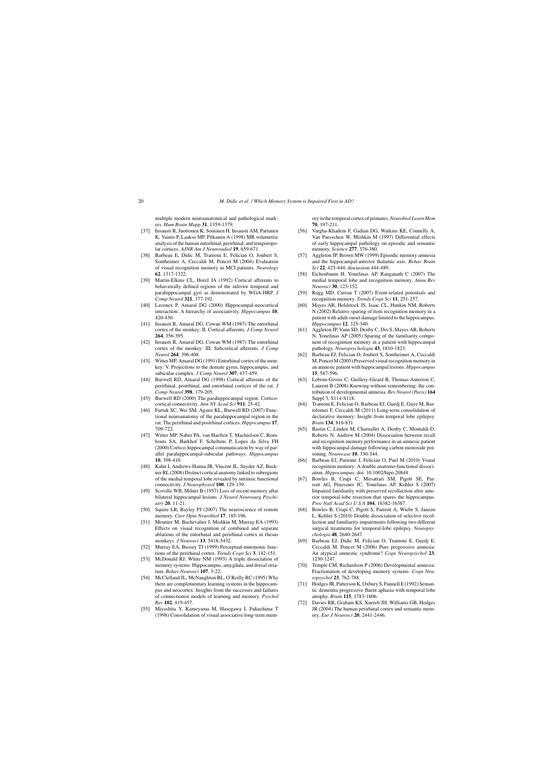multiple modern neuroanatomical and pathological markers. *Hum Brain Mapp* **31**, 1359-1379.

- [37] Insausti R, Juottonen K, Soininen H, Insausti AM, Partanen K, Vainio P, Laakso MP, Pitkanen A (1998) MR volumetric analysis of the human entorhinal, perirhinal, and temporopolar cortices. *AJNR Am J Neuroradiol* **19**, 659-671.
- [38] Barbeau E, Didic M, Tramoni E, Felician O, Joubert S, Sontheimer A, Ceccaldi M, Poncet M (2004) Evaluation of visual recognition memory in MCI patients. *Neurology* **62**, 1317-1322.
- [39] Martin-Elkins CL, Horel JA (1992) Cortical afferents to behaviorally defined regions of the inferior temporal and parahippocampal gyri as demonstrated by WGA-HRP. *J Comp Neurol* **321**, 177-192.
- [40] Lavenex P, Amaral DG (2000) Hippocampal-neocortical interaction: A hierarchy of associativity. *Hippocampus* **10**, 420-430.
- [41] Insausti R, Amaral DG, Cowan WM (1987) The entorhinal cortex of the monkey: II. Cortical afferents. *J Comp Neurol* **264**, 356-395.
- [42] Insausti R, Amaral DG, Cowan WM (1987) The entorhinal cortex of the monkey: III. Subcortical afferents. *J Comp Neurol* **264**, 396-408.
- [43] Witter MP, Amaral DG (1991) Entorhinal cortex of the monkey: V. Projections to the dentate gyrus, hippocampus, and subicular complex. *J Comp Neurol* **307**, 437-459.
- [44] Burwell RD, Amaral DG (1998) Cortical afferents of the perirhinal, postrhinal, and entorhinal cortices of the rat. *J Comp Neurol* **398**, 179-205.
- [45] Burwell RD (2000) The parahippocampal region: Corticocortical connectivity. *Ann NY Acad Sci* **911**, 25-42.
- [46] Furtak SC, Wei SM, Agster KL, Burwell RD (2007) Functional neuroanatomy of the parahippocampal region in the rat: The perirhinal and postrhinal cortices. *Hippocampus* **17**, 709-722.
- [47] Witter MP, Naber PA, van Haeften T, Machielsen C, Rombouts SA, Barkhof F, Scheltens P, Lopes da Silva FH (2000) Cortico-hippocampal communication by way of parallel parahippocampal-subicular pathways. *Hippocampus* **10**, 398-410.
- [48] Kahn I, Andrews-Hanna JR, Vincent JL, Snyder AZ, Buckner RL (2008) Distinct cortical anatomy linked to subregions of the medial temporal lobe revealed by intrinsic functional connectivity. *J Neurophysiol* **100**, 129-139.
- [49] Scoville WB, Milner B (1957) Loss of recent memory after bilateral hippocampal lesions. *J Neurol Neurosurg Psychiatry* **20**, 11-21.
- [50] Squire LR, Bayley PJ (2007) The neuroscience of remote memory. *Curr Opin Neurobiol* **17**, 185-196.
- [51] Meunier M, Bachevalier J, Mishkin M, Murray EA (1993) Effects on visual recognition of combined and separate ablations of the entorhinal and perirhinal cortex in rhesus monkeys. *J Neurosci* **13**, 5418-5432.
- [52] Murray EA, Bussey TJ (1999) Perceptual-mnemonic functions of the perirhinal cortex. *Trends Cogn Sci* **3**, 142-151.
- [53] McDonald RJ, White NM (1993) A triple dissociation of memory systems: Hippocampus, amygdala, and dorsal striatum. *Behav Neurosci* **107**, 3-22.
- [54] McClelland JL, McNaughton BL, O'Reilly RC (1995) Why there are complementary learning systems in the hippocampus and neocortex: Insights from the successes and failures of connectionist models of learning and memory. *Psychol Rev* **102**, 419-457.
- [55] Miyashita Y, Kameyama M, Hasegawa I, Fukushima T (1998) Consolidation of visual associative long-term mem-

ory in the temporal cortex of primates.*Neurobiol Learn Mem* **70**, 197-211.

- [56] Vargha-Khadem F, Gadian DG, Watkins KE, Connelly A, Van Paesschen W, Mishkin M (1997) Differential effects of early hippocampal pathology on episodic and semantic memory. *Science* **277**, 376-380.
- [57] Aggleton JP, Brown MW (1999) Episodic memory amnesia and the hippocampal-anterior thalamic axis. *Behav Brain Sci* **22**, 425-444; discussion 444-489.
- [58] Eichenbaum H, Yonelinas AP, Ranganath C (2007) The medial temporal lobe and recognition memory. *Annu Rev Neurosci* **30**, 123-152.
- [59] Rugg MD, Curran T (2007) Event-related potentials and recognition memory. *Trends Cogn Sci* **11**, 251-257.
- [60] Mayes AR, Holdstock JS, Isaac CL, Hunkin NM, Roberts N (2002) Relative sparing of item recognition memory in a patient with adult-onset damage limited to the hippocampus. *Hippocampus* **12**, 325-340.
- [61] Aggleton JP, Vann SD, Denby C, Dix S, Mayes AR, Roberts N, Yonelinas AP (2005) Sparing of the familiarity component of recognition memory in a patient with hippocampal pathology. *Neuropsychologia* **43**, 1810-1823.
- [62] Barbeau EJ, Felician O, Joubert S, Sontheimer A, Ceccaldi M, Poncet M (2005) Preserved visual recognition memory in an amnesic patient with hippocampal lesions. *Hippocampus* **15**, 587-596.
- [63] Lebrun-Givois C, Guillery-Girard B, Thomas-Anterion C, Laurent B (2008) Knowing without remembering: the contribution of developmental amnesia. *Rev Neurol (Paris)* **164** Suppl 3, S114-S118.
- [64] Tramoni E, Felician O, Barbeau EJ, Guedj E, Guye M, Bartolomei F, Ceccaldi M (2011) Long-term consolidation of declarative memory: Insight from temporal lobe epilepsy. *Brain* **134**, 816-831.
- [65] Bastin C, Linden M, Charnallet A, Denby C, Montaldi D, Roberts N, Andrew M (2004) Dissociation between recall and recognition memory performance in an amnesic patient with hippocampal damage following carbon monoxide poisoning. *Neurocase* **10**, 330-344.
- [66] Barbeau EJ, Pariente J, Felician O, Puel M (2010) Visual recognition memory: A double anatomo-functional dissociation. *Hippocampus*, doi: 10.1002/hipo.20848
- [67] Bowles B, Crupi C, Mirsattari SM, Pigott SE, Parrent AG, Pruessner JC, Yonelinas AP, Kohler S (2007) Impaired familiarity with preserved recollection after anterior temporal-lobe resection that spares the hippocampus. *Proc Natl Acad SciUSA* **104**, 16382-16387.
- [68] Bowles B, Crupi C, Pigott S, Parrent A, Wiebe S, Janzen L, Kohler S (2010) Double dissociation of selective recollection and familiarity impairments following two different surgical treatments for temporal-lobe epilepsy. *Neuropsychologia* **48**, 2640-2647.
- Barbeau EJ, Didic M, Felician O, Tramoni E, Guedj E, Ceccaldi M, Poncet M (2006) Pure progressive amnesia: An atypical amnestic syndrome? *Cogn Neuropsychol* **23**, 1230-1247.
- [70] Temple CM, Richardson P (2006) Developmental amnesia: Fractionation of developing memory systems. *Cogn Neuropsychol* **23**, 762-788.
- [71] Hodges JR, Patterson K, Oxbury S, Funnell E (1992) Semantic dementia progressive fluent aphasia with temporal lobe atrophy. *Brain* **115**, 1783-1806.
- [72] Davies RR, Graham KS, Xuereb JH, Williams GB, Hodges JR (2004) The human perirhinal cortex and semantic memory. *Eur J Neurosci* **20**, 2441-2446.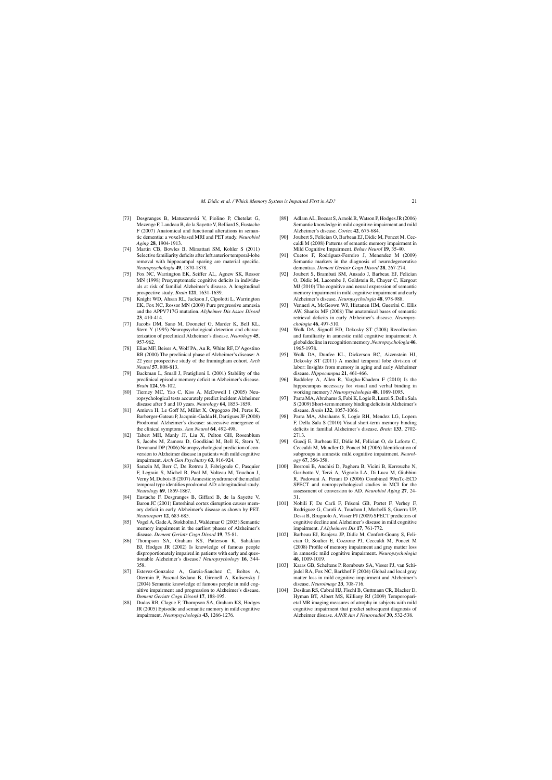- [73] Desgranges B, Matuszewski V, Piolino P, Chetelat G, Mezenge F, Landeau B, de la Sayette V, Belliard S, Eustache F (2007) Anatomical and functional alterations in semantic dementia: a voxel-based MRI and PET study. *Neurobiol Aging* **28**, 1904-1913.
- [74] Martin CB, Bowles B, Mirsattari SM, Kohler S (2011) Selective familiarity deficits after left anterior temporal-lobe removal with hippocampal sparing are material specific. *Neuropsychologia* **49**, 1870-1878.
- [75] Fox NC, Warrington EK, Seiffer AL, Agnew SK, Rossor MN (1998) Presymptomatic cognitive deficits in individuals at risk of familial Alzheimer's disease. A longitudinal prospective study. *Brain* **121**, 1631-1639.
- [76] Knight WD, Ahsan RL, Jackson J, Cipolotti L, Warrington EK, Fox NC, Rossor MN (2009) Pure progressive amnesia and the APPV717G mutation. *Alzheimer Dis Assoc Disord* **23**, 410-414.
- [77] Jacobs DM, Sano M, Dooneief G, Marder K, Bell KL, Stern Y (1995) Neuropsychological detection and characterization of preclinical Alzheimer's disease. *Neurology* **45**, 957-962.
- [78] Elias MF, Beiser A, Wolf PA, Au R, White RF, D'Agostino RB (2000) The preclinical phase of Alzheimer's disease: A 22 year prospective study of the framingham cohort. *Arch Neurol* **57**, 808-813.
- [79] Backman L, Small J, Fratiglioni L (2001) Stability of the preclinical episodic memory deficit in Alzheimer's disease. *Brain* **124**, 96-102.
- [80] Tierney MC, Yao C, Kiss A, McDowell I (2005) Neuropsychological tests accurately predict incident Alzheimer disease after 5 and 10 years. *Neurology* **64**, 1853-1859.
- [81] Amieva H, Le Goff M, Millet X, Orgogozo JM, Peres K, Barberger-Gateau P, Jacqmin-Gadda H, Dartigues JF (2008) Prodromal Alzheimer's disease: successive emergence of the clinical symptoms. *Ann Neurol* **64**, 492-498.
- [82] Tabert MH, Manly JJ, Liu X, Pelton GH, Rosenblum S, Jacobs M, Zamora D, Goodkind M, Bell K, Stern Y, Devanand DP (2006) Neuropsychological prediction of conversion to Alzheimer disease in patients with mild cognitive impairment. *Arch Gen Psychiatry* **63**, 916-924.
- [83] Sarazin M, Berr C, De Rotrou J, Fabrigoule C, Pasquier F, Legrain S, Michel B, Puel M, Volteau M, Touchon J, Verny M, Dubois B (2007) Amnestic syndrome of the medial temporal type identifies prodromal AD: a longitudinal study. *Neurology* **69**, 1859-1867.
- [84] Eustache F, Desgranges B, Giffard B, de la Sayette V, Baron JC (2001) Entorhinal cortex disruption causes memory deficit in early Alzheimer's disease as shown by PET. *Neuroreport* **12**, 683-685.
- [85] Vogel A, Gade A, Stokholm J, Waldemar G (2005) Semantic memory impairment in the earliest phases of Alzheimer's disease. *Dement Geriatr Cogn Disord* **19**, 75-81.
- [86] Thompson SA, Graham KS, Patterson K, Sahakian BJ, Hodges JR (2002) Is knowledge of famous people disproportionately impaired in patients with early and questionable Alzheimer's disease? *Neuropsychology* **16**, 344- 358.
- [87] Estevez-Gonzalez A, Garcia-Sanchez C, Boltes A, Otermin P, Pascual-Sedano B, Gironell A, Kulisevsky J (2004) Semantic knowledge of famous people in mild cognitive impairment and progression to Alzheimer's disease. *Dement Geriatr Cogn Disord* **17**, 188-195.
- [88] Dudas RB, Clague F, Thompson SA, Graham KS, Hodges JR (2005) Episodic and semantic memory in mild cognitive impairment. *Neuropsychologia* **43**, 1266-1276.
- [89] Adlam AL, Bozeat S, Arnold R, Watson P, Hodges JR (2006) Semantic knowledge in mild cognitive impairment and mild Alzheimer's disease. *Cortex* **42**, 675-684.
- [90] Joubert S, Felician O, Barbeau EJ, Didic M, Poncet M, Ceccaldi M (2008) Patterns of semantic memory impairment in Mild Cognitive Impairment. *Behav Neurol* **19**, 35-40.
- [91] Cuetos F, Rodriguez-Ferreiro J, Menendez M (2009) Semantic markers in the diagnosis of neurodegenerative dementias. *Dement Geriatr Cogn Disord* **28**, 267-274.
- [92] Joubert S, Brambati SM, Ansado J, Barbeau EJ, Felician O, Didic M, Lacombe J, Goldstein R, Chayer C, Kergoat MJ (2010) The cognitive and neural expression of semantic memory impairment in mild cognitive impairment and early Alzheimer's disease. *Neuropsychologia* **48**, 978-988.
- [93] Venneri A, McGeown WJ, Hietanen HM, Guerrini C, Ellis AW, Shanks MF (2008) The anatomical bases of semantic retrieval deficits in early Alzheimer's disease. *Neuropsychologia* **46**, 497-510.
- [94] Wolk DA, Signoff ED, Dekosky ST (2008) Recollection and familiarity in amnestic mild cognitive impairment: A global decline in recognition memory.*Neuropsychologia* **46**, 1965-1978.
- [95] Wolk DA, Dunfee KL, Dickerson BC, Aizenstein HJ, Dekosky ST (2011) A medial temporal lobe division of labor: Insights from memory in aging and early Alzheimer disease. *Hippocampus* **21**, 461-466.
- [96] Baddeley A, Allen R, Vargha-Khadem F (2010) Is the hippocampus necessary for visual and verbal binding in working memory? *Neuropsychologia* **48**, 1089-1095.
- [97] Parra MA, Abrahams S, Fabi K, Logie R, Luzzi S, Della Sala S (2009) Short-term memory binding deficits in Alzheimer's disease. *Brain* **132**, 1057-1066.
- [98] Parra MA, Abrahams S, Logie RH, Mendez LG, Lopera F, Della Sala S (2010) Visual short-term memory binding deficits in familial Alzheimer's disease. *Brain* **133**, 2702- 2713.
- [99] Guedj E, Barbeau EJ, Didic M, Felician O, de Laforte C, Ceccaldi M, Mundler O, Poncet M (2006) Identification of subgroups in amnestic mild cognitive impairment. *Neurology* **67**, 356-358.
- [100] Borroni B, Anchisi D, Paghera B, Vicini B, Kerrouche N, Garibotto V, Terzi A, Vignolo LA, Di Luca M, Giubbini R, Padovani A, Perani D (2006) Combined 99mTc-ECD SPECT and neuropsychological studies in MCI for the assessment of conversion to AD. *Neurobiol Aging* **27**, 24- 31.
- [101] Nobili F, De Carli F, Frisoni GB, Portet F, Verhey F, Rodriguez G, Caroli A, Touchon J, Morbelli S, Guerra UP, Dessi B, Brugnolo A, Visser PJ (2009) SPECT predictors of cognitive decline and Alzheimer's disease in mild cognitive impairment. *J Alzheimers Dis* **17**, 761-772.
- [102] Barbeau EJ, Ranjeva JP, Didic M, Confort-Gouny S, Felician O, Soulier E, Cozzone PJ, Ceccaldi M, Poncet M (2008) Profile of memory impairment and gray matter loss in amnestic mild cognitive impairment. *Neuropsychologia* **46**, 1009-1019.
- [103] Karas GB, Scheltens P, Rombouts SA, Visser PJ, van Schijndel RA, Fox NC, Barkhof F (2004) Global and local gray matter loss in mild cognitive impairment and Alzheimer's disease. *Neuroimage* **23**, 708-716.
- [104] Desikan RS, Cabral HJ, Fischl B, Guttmann CR, Blacker D, Hyman BT, Albert MS, Killiany RJ (2009) Temporoparietal MR imaging measures of atrophy in subjects with mild cognitive impairment that predict subsequent diagnosis of Alzheimer disease. *AJNR Am J Neuroradiol* **30**, 532-538.